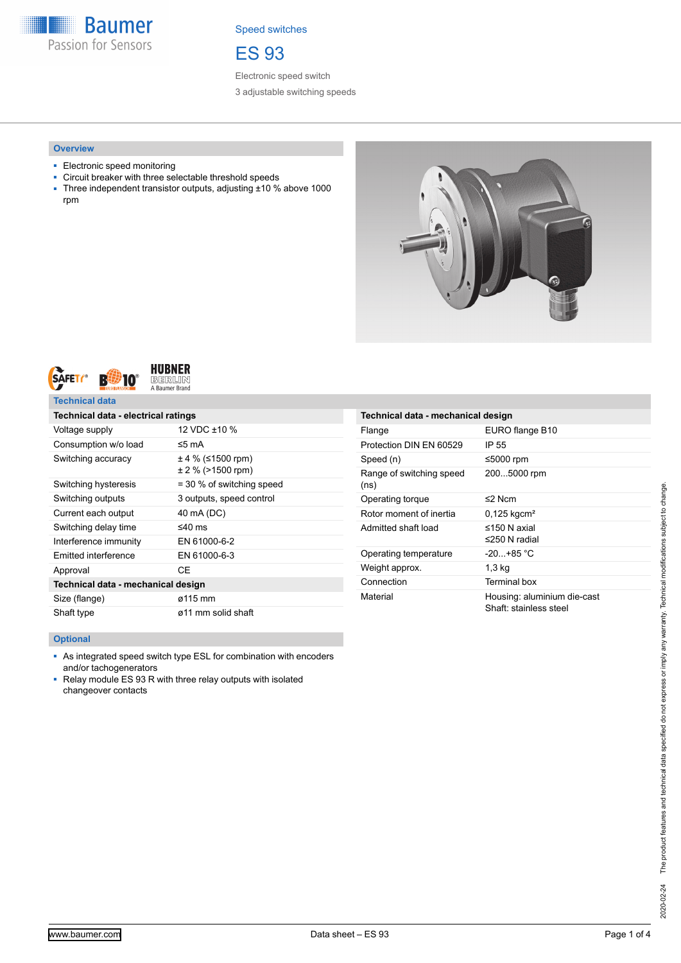**Baumer** Passion for Sensors

Speed switches

ES 93

Electronic speed switch 3 adjustable switching speeds

#### **Overview**

- Electronic speed monitoring
- Circuit breaker with three selectable threshold speeds
- Three independent transistor outputs, adjusting ±10 % above 1000 rpm





### **Technical data**

| Technical data - electrical ratings |                                            |  |
|-------------------------------------|--------------------------------------------|--|
| Voltage supply                      | 12 VDC ±10 %                               |  |
| Consumption w/o load                | ≤5 mA                                      |  |
| Switching accuracy                  | ± 4 % (≤1500 rpm)<br>$\pm$ 2 % (>1500 rpm) |  |
| Switching hysteresis                | = 30 % of switching speed                  |  |
| Switching outputs                   | 3 outputs, speed control                   |  |
| Current each output                 | 40 mA (DC)                                 |  |
| Switching delay time                | ≤40 ms                                     |  |
| Interference immunity               | EN 61000-6-2                               |  |
| Emitted interference                | EN 61000-6-3                               |  |
| Approval                            | CF                                         |  |
| Technical data - mechanical design  |                                            |  |
| Size (flange)                       | ø115 mm                                    |  |
| Shaft type                          | ø11 mm solid shaft                         |  |

| Technical data - mechanical design |                                                       |  |
|------------------------------------|-------------------------------------------------------|--|
| Flange                             | EURO flange B10                                       |  |
| Protection DIN EN 60529            | IP 55                                                 |  |
| Speed (n)                          | ≤5000 rpm                                             |  |
| Range of switching speed<br>(ns)   | 2005000 rpm                                           |  |
| Operating torque                   | ≤2 N $cm$                                             |  |
| Rotor moment of inertia            | $0,125$ kgcm <sup>2</sup>                             |  |
| Admitted shaft load                | $\leq$ 150 N axial<br>≤250 N radial                   |  |
| Operating temperature              | $-20 + 85$ °C                                         |  |
| Weight approx.                     | 1,3 kg                                                |  |
| Connection                         | Terminal box                                          |  |
| Material                           | Housing: aluminium die-cast<br>Shaft: stainless steel |  |

#### **Optional**

- As integrated speed switch type ESL for combination with encoders and/or tachogenerators
- Relay module ES 93 R with three relay outputs with isolated changeover contacts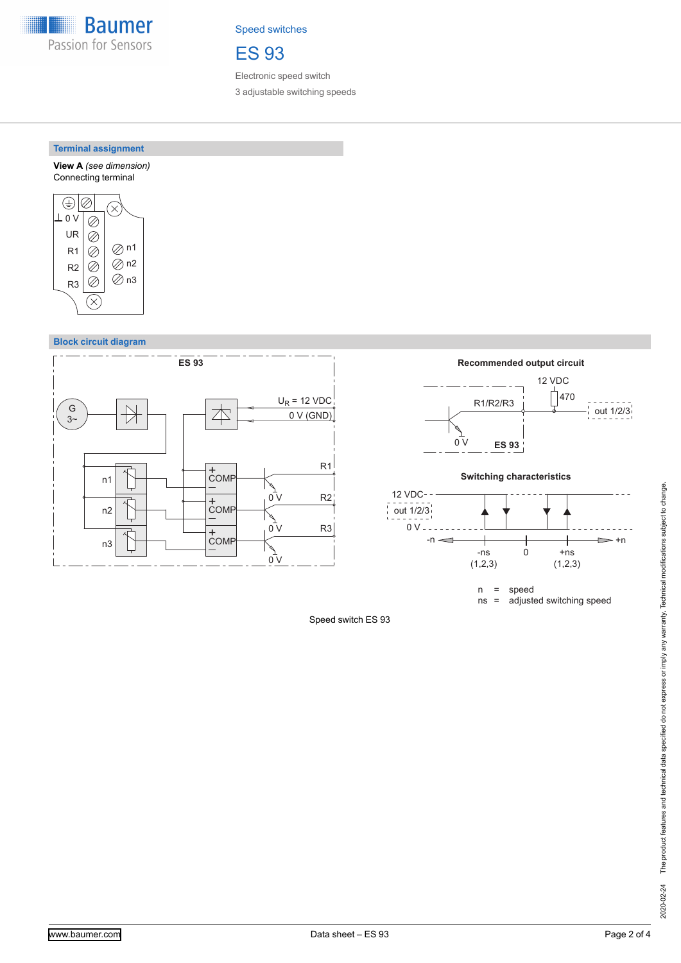

Speed switches

## ES 93

Electronic speed switch 3 adjustable switching speeds

### **Terminal assignment**

**View A** *(see dimension)* Connecting terminal



### **Block circuit diagram**









 $n = speed$ <br> $ns = adjust$ ns = adjusted switching speed

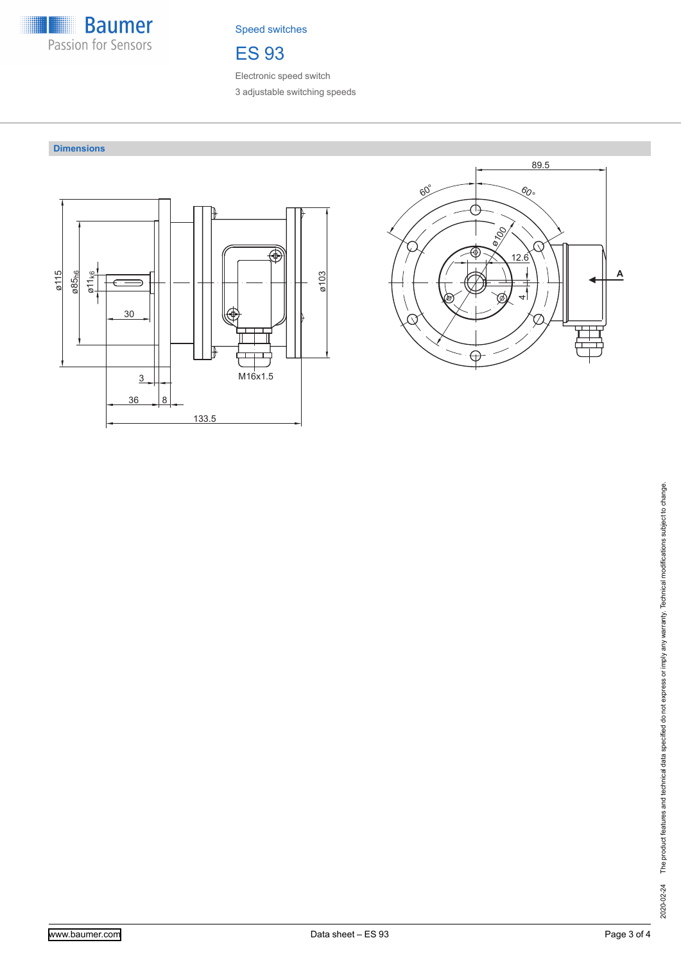

Speed switches

# ES 93

Electronic speed switch 3 adjustable switching speeds

## **Dimensions**